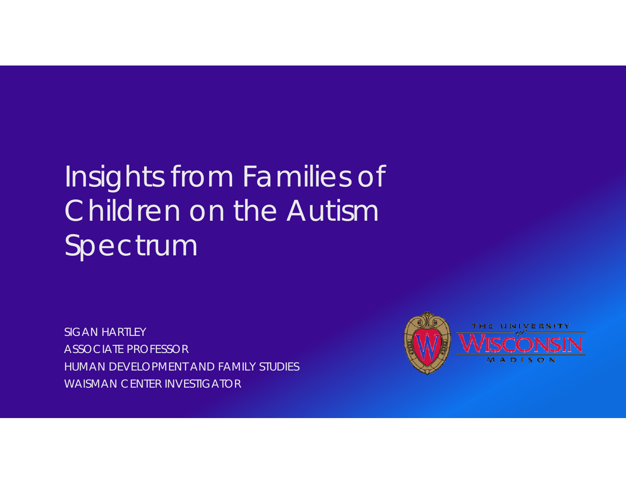# Insights from Families of Children on the Autism Spectrum

SIGAN HARTLEYASSOCIATE PROFESSORHUMAN DEVELOPMENT AND FAMILY STUDIESWAISMAN CENTER INVESTIGATOR

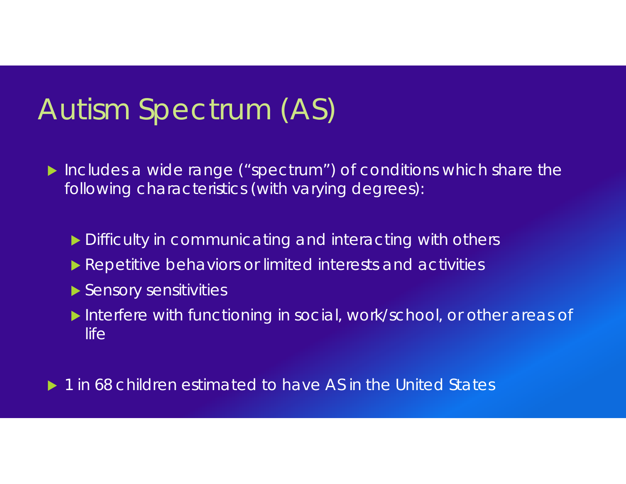### Autism Spectrum (AS)

- Includes a wide range ("spectrum") of conditions which share the following characteristics (with varying degrees):
	- **Difficulty in communicating and interacting with others**
	- **Repetitive behaviors or limited interests and activities**
	- Sensory sensitivities
	- Interfere with functioning in social, work/school, or other areas of life
- ▶ 1 in 68 children estimated to have AS in the United States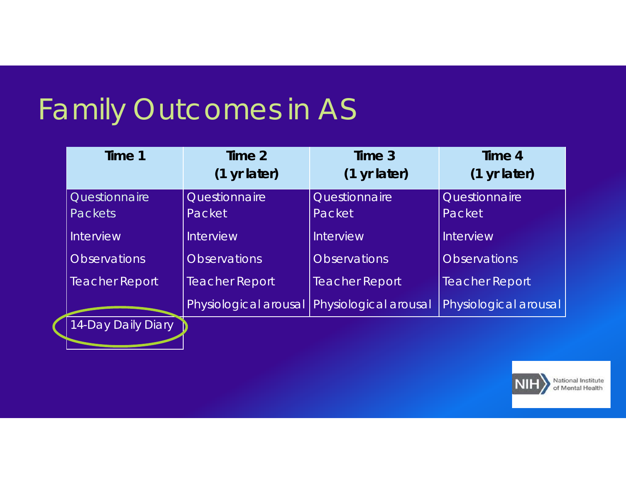# Family Outcomes in AS

| Time 1                | Time 2<br>$(1 \text{ yr later})$ | Time 3<br>(1 yr later) | Time 4<br>(1 yr later) |
|-----------------------|----------------------------------|------------------------|------------------------|
| Questionnaire         | Questionnaire                    | Questionnaire          | Questionnaire          |
| <b>Packets</b>        | Packet                           | Packet                 | Packet                 |
| <b>Interview</b>      | <b>Interview</b>                 | Interview              | Interview              |
| <b>Observations</b>   | <b>Observations</b>              | <b>Observations</b>    | <b>Observations</b>    |
| <b>Teacher Report</b> | <b>Teacher Report</b>            | <b>Teacher Report</b>  | <b>Teacher Report</b>  |
|                       | Physiological arousal            | Physiological arousal  | Physiological arousal  |
| 14-Day Daily Diary    |                                  |                        |                        |



National Institute of Mental Health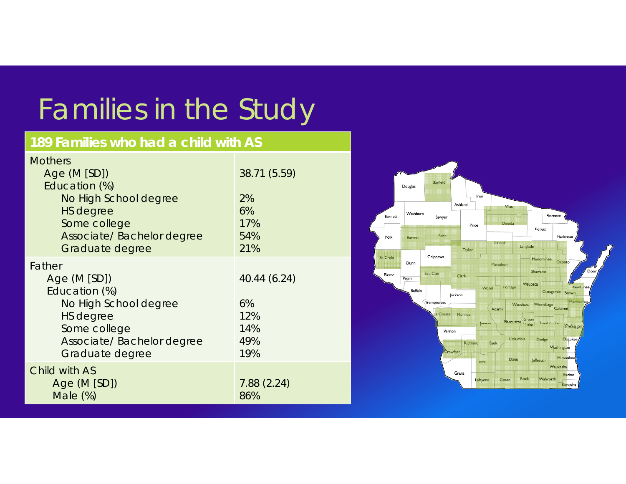# Families in the Study

#### **189 Families who had a child with AS**

| <b>Mothers</b><br>Age (M [SD])<br>Education (%)<br>No High School degree<br><b>HS</b> degree<br>Some college<br>Associate/ Bachelor degree<br>Graduate degree | 38.71 (5.59)<br>2%<br>6%<br>17%<br>54%<br>21%  |
|---------------------------------------------------------------------------------------------------------------------------------------------------------------|------------------------------------------------|
| Father<br>Age $(M [SD])$<br>Education (%)<br>No High School degree<br><b>HS</b> degree<br>Some college<br>Associate/ Bachelor degree<br>Graduate degree       | 40.44 (6.24)<br>6%<br>12%<br>14%<br>49%<br>19% |
| Child with AS<br>Age $(M [SD])$<br>Male $(\%)$                                                                                                                | 7.88(2.24)<br>86%                              |

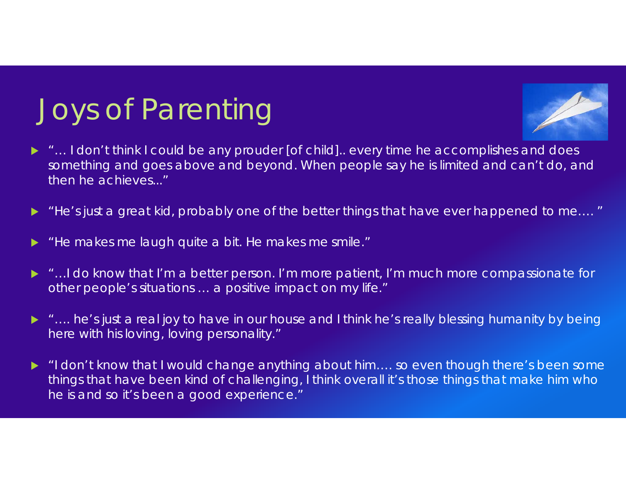# Joys of Parenting



- $\blacktriangleright$  "… I don't think I could be any prouder [of child].. every time he accomplishes and does something and goes above and beyond. When people say he is limited and can't do, and then he achieves..."
- $\blacktriangleright$ "He's just a great kid, probably one of the better things that have ever happened to me…. "
- $\blacktriangleright$ "He makes me laugh quite a bit. He makes me smile."
- ▶ "…I do know that I'm a better person. I'm more patient, I'm much more compassionate for other people's situations … a positive impact on my life."
- ▶ "…. he's just a real joy to have in our house and I think he's really blessing humanity by being here with his loving, loving personality."
- ▶ "I don't know that I would change anything about him…. so even though there's been some things that have been kind of challenging, I think overall it's those things that make him who he is and so it's been a good experience."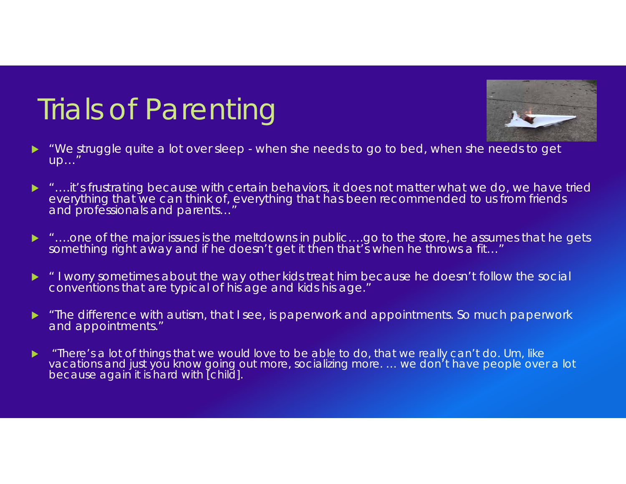# Trials of Parenting



- $\blacktriangleright$  "We struggle quite a lot over sleep - when she needs to go to bed, when she needs to get up…"
- $\blacktriangleright$  "….it's frustrating because with certain behaviors, it does not matter what we do, we have tried everything that we can think of, everything that has been recommended to us from friends and professionals and parents…"
- ▶ "….one of the major issues is the meltdowns in public….go to the store, he assumes that he gets something right away and if he doesn't get it then that's when he throws a fit…"
- $\blacktriangleright$  " I worry sometimes about the way other kids treat him because he doesn't follow the social conventions that are typical of his age and kids his age."
- $\blacktriangleright$  "The difference with autism, that I see, is paperwork and appointments. So much paperwork and appointments."
- $\blacktriangleright$  "There's a lot of things that we would love to be able to do, that we really can't do. Um, like vacations and just you know going out more, socializing more. ... we don't have people over a lot because again it is hard with [child].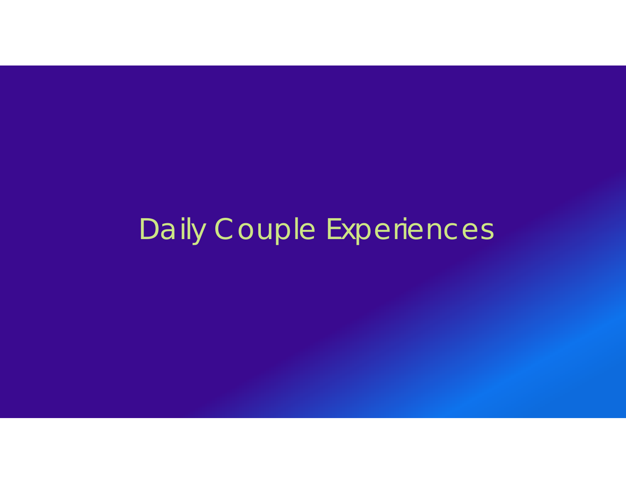# Daily Couple Experiences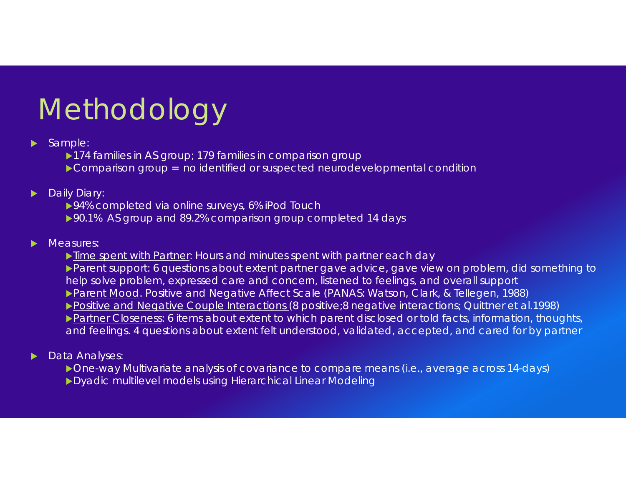# Methodology

- $\blacktriangleright$  Sample:
	- ▶ 174 families in AS group; 179 families in comparison group
	- ▶ Comparison group = no identified or suspected neurodevelopmental condition

#### $\blacktriangleright$ Daily Diary:

- ▶94% completed via online surveys, 6% iPod Touch
- ▶90.1% AS group and 89.2% comparison group completed 14 days

#### $\blacktriangleright$ Measures:

- lacktriangted Spent with Partner: Hours and minutes spent with partner each day
- Parent support: 6 questions about extent partner gave advice, gave view on problem, did something to help solve problem, expressed care and concern, listened to feelings, and overall support ▶ Parent Mood. Positive and Negative Affect Scale (PANAS: Watson, Clark, & Tellegen, 1988) Positive and Negative Couple Interactions (8 positive;8 negative interactions; Quittner et al.1998)
- Partner Closeness: 6 items about extent to which parent disclosed or told facts, information, thoughts, and feelings. 4 questions about extent felt understood, validated, accepted, and cared for by partner

#### ▶ Data Analyses:

- ▶ One-way Multivariate analysis of covariance to compare means (i.e., average across 14-days)
- ▶ Dyadic multilevel models using Hierarchical Linear Modeling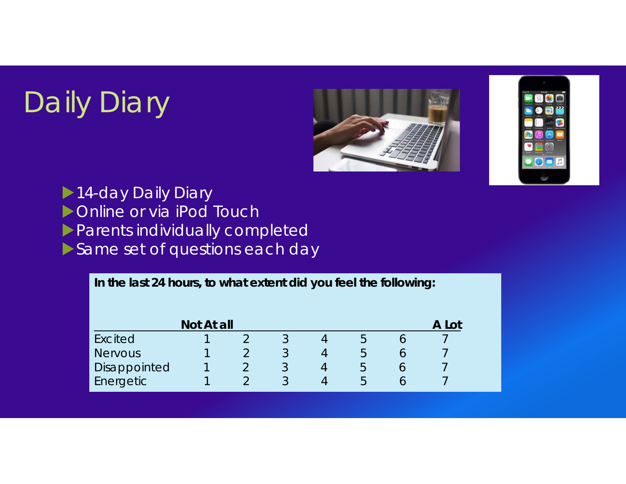# Daily Diary





14-day Daily Diary

**Denotive Online or via iPod Touch** 

**Parents individually completed** 

Same set of questions each day

**In the last 24 hours, to what extent did you feel the following: Not At all** A Lot Excited 1 2 3 4 5 6 7 Nervous 1 2 3 4 5 6 7 Disappointed 1 2 3 4 5 6 7<br>Frergetic 1 2 3 4 5 6 7 Energetic 1 2 3 4 5 6 7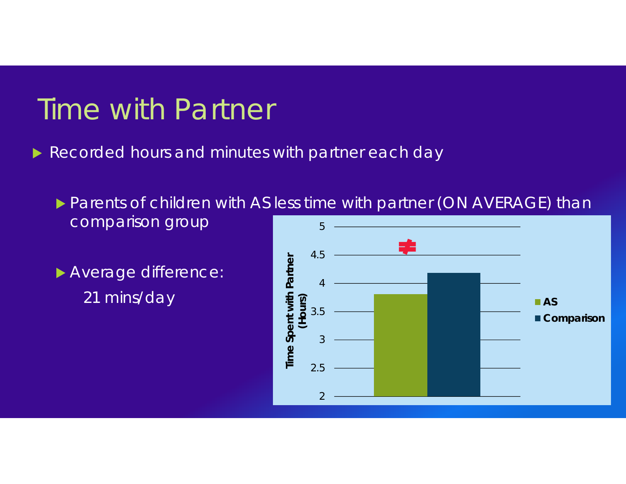### Time with Partner

- **Recorded hours and minutes with partner each day** 
	- **Parents of children with AS less time with partner (ON AVERAGE) than** comparison group 5
	- Average difference: 21 mins/day

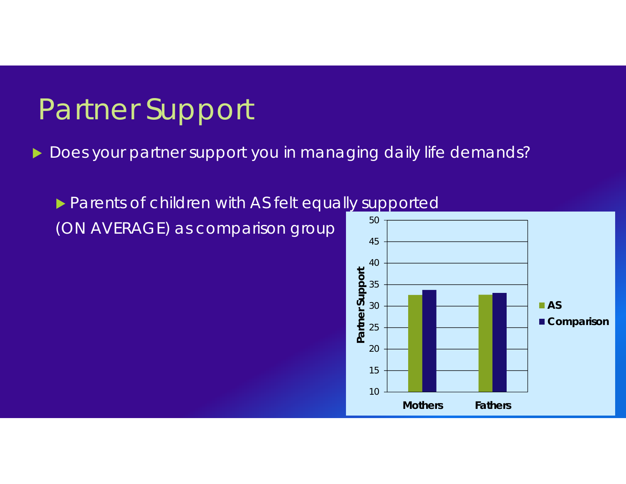### Partner Support

- $\blacktriangleright$  Does your partner support you in managing daily life demands?
	- **Parents of children with AS felt equally supported** (ON AVERAGE) as comparison group 50

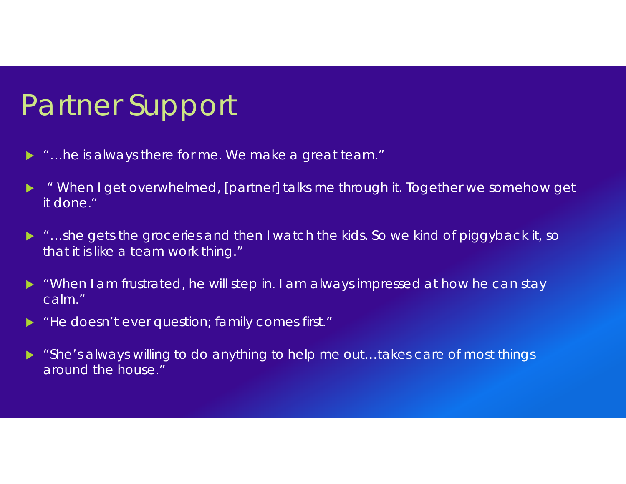## Partner Support

- "…he is always there for me. We make a great team."
- $\blacktriangleright$  " When I get overwhelmed, [partner] talks me through it. Together we somehow get it done."
- "…she gets the groceries and then I watch the kids. So we kind of piggyback it, so that it is like a team work thing."
- "When I am frustrated, he will step in. I am always impressed at how he can stay calm."
- "He doesn't ever question; family comes first."
- "She's always willing to do anything to help me out…takes care of most things around the house."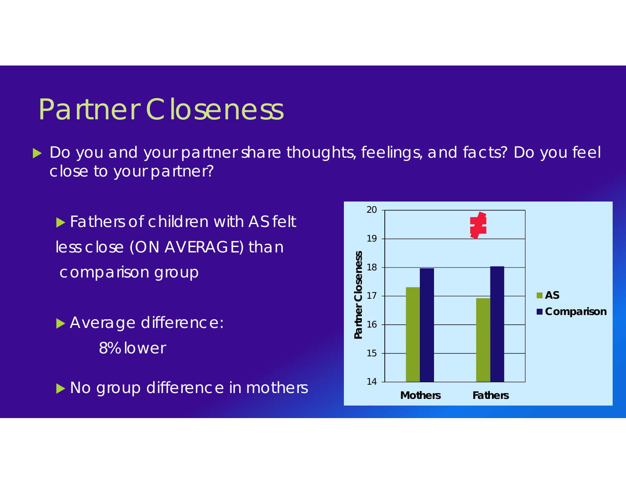### Partner Closeness

 $\blacktriangleright$  Do you and your partner share thoughts, feelings, and facts? Do you feel close to your partner?

**Fathers of children with AS felt** less close (ON AVERAGE) than comparison group

 Average difference: 8% lower

• No group difference in mothers 14

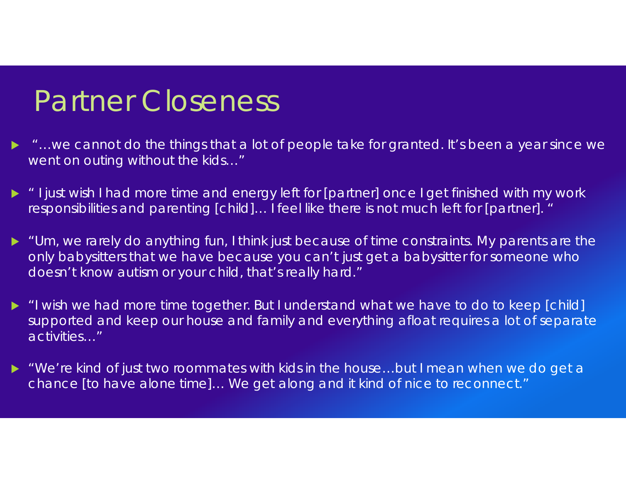### Partner Closeness

- ▶ "…we cannot do the things that a lot of people take for granted. It's been a year since we went on outing without the kids…"
- " I just wish I had more time and energy left for [partner] once I get finished with my work responsibilities and parenting [child]… I feel like there is not much left for [partner]. "
- "Um, we rarely do anything fun, I think just because of time constraints. My parents are the only babysitters that we have because you can't just get a babysitter for someone who doesn't know autism or your child, that's really hard."
- "I wish we had more time together. But I understand what we have to do to keep [child] supported and keep our house and family and everything afloat requires a lot of separate activities…"
- ▶ "We're kind of just two roommates with kids in the house…but I mean when we do get a chance [to have alone time]… We get along and it kind of nice to reconnect."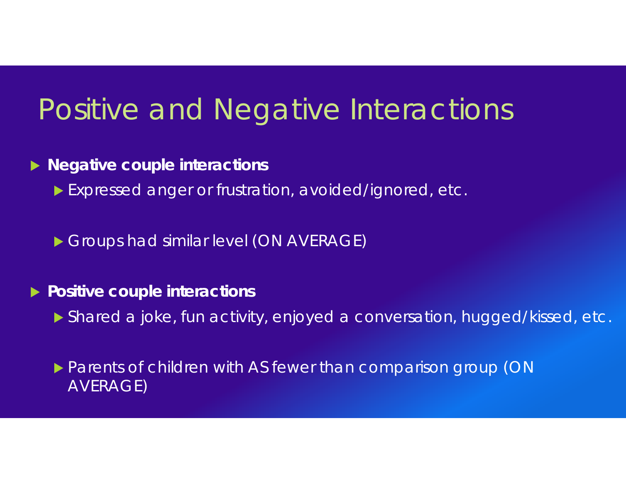### Positive and Negative Interactions

#### **Negative couple interactions**

- Expressed anger or frustration, avoided/ignored, etc.
- Groups had similar level (ON AVERAGE)

#### **Positive couple interactions**

Shared a joke, fun activity, enjoyed a conversation, hugged/kissed, etc.

#### **Parents of children with AS fewer than comparison group (ON)** AVERAGE)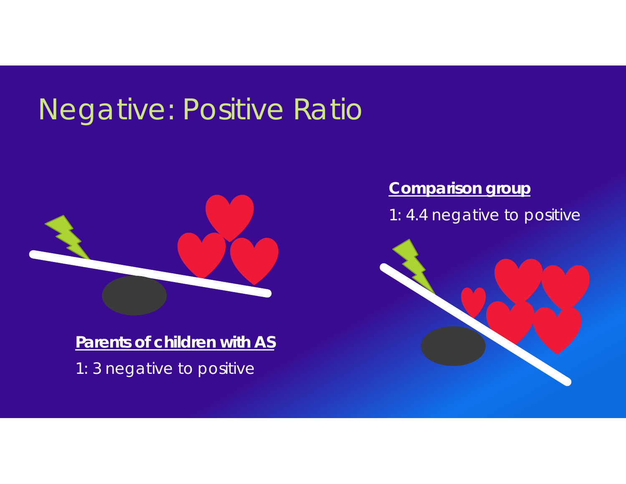## Negative: Positive Ratio



**Parents of children with AS** 1: 3 negative to positive

#### **Comparison group**

1: 4.4 negative to positive

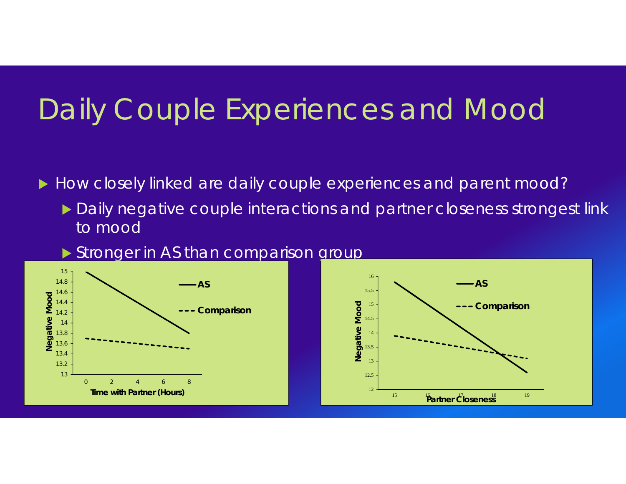# Daily Couple Experiences and Mood

How closely linked are daily couple experiences and parent mood?

- ▶ Daily negative couple interactions and partner closeness strongest link to mood
- Stronger in AS than comparison group



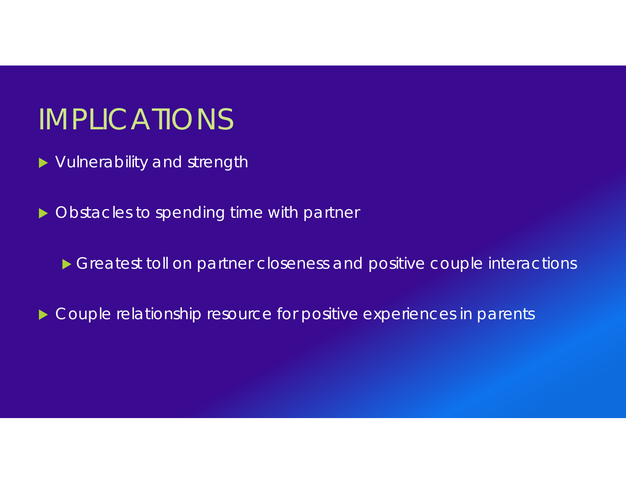### IMPLICATIONS

- ▶ Vulnerability and strength
- ▶ Obstacles to spending time with partner
	- Greatest toll on partner closeness and positive couple interactions
- **Couple relationship resource for positive experiences in parents**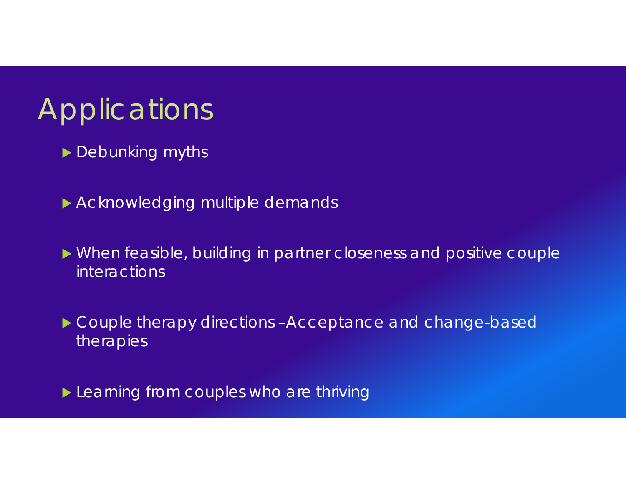# **Applications**

- Debunking myths
- Acknowledging multiple demands
- When feasible, building in partner closeness and positive couple interactions
- ▶ Couple therapy directions -Acceptance and change-based therapies
- **Learning from couples who are thriving**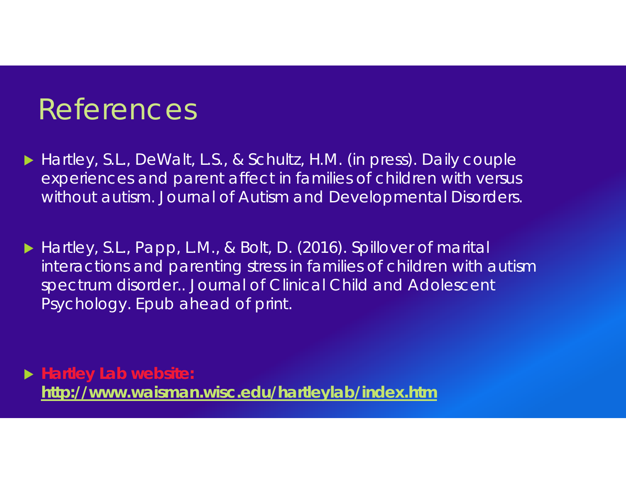### References

 Hartley, S.L., DeWalt, L.S., & Schultz, H.M. (in press). Daily couple experiences and parent affect in families of children with versus without autism. *Journal of Autism and Developmental Disorders*.

▶ Hartley, S.L., Papp, L.M., & Bolt, D. (2016). Spillover of marital interactions and parenting stress in families of children with autism spectrum disorder.. *Journal of Clinical Child and Adolescent Psychology*. Epub ahead of print.

 **Hartley Lab website: http://www.waisman.wisc.edu/hartleylab/index.htm**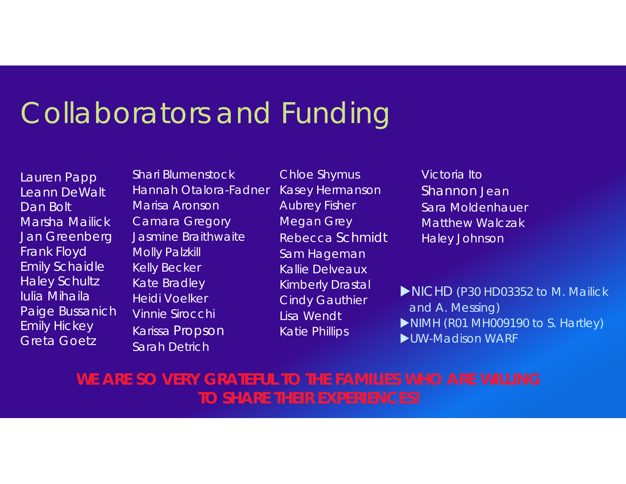### Collaborators and Funding

Lauren Papp Leann DeWaltDan BoltMarsha MailickJan Greenberg Frank Floyd Emily Schaidle Haley Schultz Iulia MihailaPaige Bussanich Emily Hickey Greta Goetz

Shari BlumenstockHannah Otalora-FadnerMarisa AronsonCamara Gregory Jasmine BraithwaiteMolly Palzkill Kelly Becker Kate Bradley Heidi VoelkerVinnie SirocchiKarissa Propson Sarah Detrich

Chloe Shymus Kasey Hermanson Aubrey Fisher Megan Grey Rebecca SchmidtSam Hageman Kallie DelveauxKimberly Drastal Cindy Gauthier Lisa WendtKatie Phillips

Victoria ItoShannon Jean Sara MoldenhauerMatthew WalczakHaley Johnson

NICHD (P30 HD03352 to M. Mailick and A. Messing)

- NIMH (R01 MH009190 to S. Hartley)
- UW-Madison WARF

#### **WE ARE SO VERY GRATEFUL TO THE FAMILIES WHO ARE WILLING TO SHARE THEIR EXPERIENCES!**